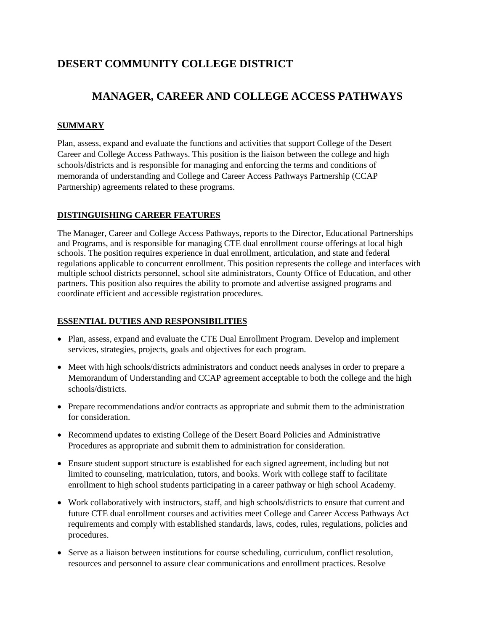# **DESERT COMMUNITY COLLEGE DISTRICT**

# **MANAGER, CAREER AND COLLEGE ACCESS PATHWAYS**

## **SUMMARY**

Plan, assess, expand and evaluate the functions and activities that support College of the Desert Career and College Access Pathways. This position is the liaison between the college and high schools/districts and is responsible for managing and enforcing the terms and conditions of memoranda of understanding and College and Career Access Pathways Partnership (CCAP Partnership) agreements related to these programs.

### **DISTINGUISHING CAREER FEATURES**

The Manager, Career and College Access Pathways, reports to the Director, Educational Partnerships and Programs, and is responsible for managing CTE dual enrollment course offerings at local high schools. The position requires experience in dual enrollment, articulation, and state and federal regulations applicable to concurrent enrollment. This position represents the college and interfaces with multiple school districts personnel, school site administrators, County Office of Education, and other partners. This position also requires the ability to promote and advertise assigned programs and coordinate efficient and accessible registration procedures.

### **ESSENTIAL DUTIES AND RESPONSIBILITIES**

- Plan, assess, expand and evaluate the CTE Dual Enrollment Program. Develop and implement services, strategies, projects, goals and objectives for each program.
- Meet with high schools/districts administrators and conduct needs analyses in order to prepare a Memorandum of Understanding and CCAP agreement acceptable to both the college and the high schools/districts.
- Prepare recommendations and/or contracts as appropriate and submit them to the administration for consideration.
- Recommend updates to existing College of the Desert Board Policies and Administrative Procedures as appropriate and submit them to administration for consideration.
- Ensure student support structure is established for each signed agreement, including but not limited to counseling, matriculation, tutors, and books. Work with college staff to facilitate enrollment to high school students participating in a career pathway or high school Academy.
- Work collaboratively with instructors, staff, and high schools/districts to ensure that current and future CTE dual enrollment courses and activities meet College and Career Access Pathways Act requirements and comply with established standards, laws, codes, rules, regulations, policies and procedures.
- Serve as a liaison between institutions for course scheduling, curriculum, conflict resolution, resources and personnel to assure clear communications and enrollment practices. Resolve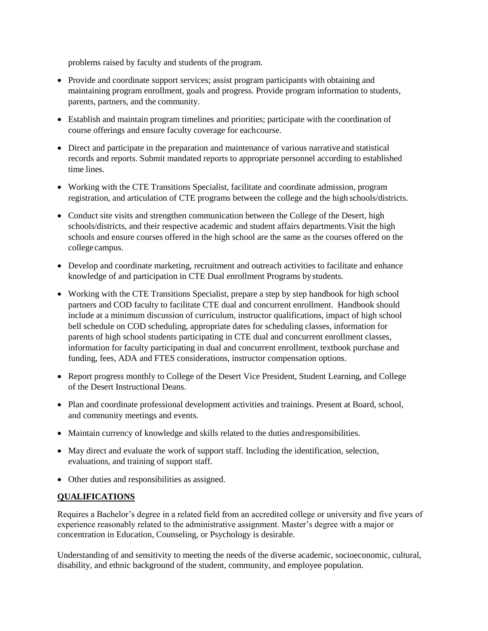problems raised by faculty and students of the program.

- Provide and coordinate support services; assist program participants with obtaining and maintaining program enrollment, goals and progress. Provide program information to students, parents, partners, and the community.
- Establish and maintain program timelines and priorities; participate with the coordination of course offerings and ensure faculty coverage for eachcourse.
- Direct and participate in the preparation and maintenance of various narrative and statistical records and reports. Submit mandated reports to appropriate personnel according to established time lines.
- Working with the CTE Transitions Specialist, facilitate and coordinate admission, program registration, and articulation of CTE programs between the college and the high schools/districts.
- Conduct site visits and strengthen communication between the College of the Desert, high schools/districts, and their respective academic and student affairs departments.Visit the high schools and ensure courses offered in the high school are the same as the courses offered on the collegecampus.
- Develop and coordinate marketing, recruitment and outreach activities to facilitate and enhance knowledge of and participation in CTE Dual enrollment Programs bystudents.
- Working with the CTE Transitions Specialist, prepare a step by step handbook for high school partners and COD faculty to facilitate CTE dual and concurrent enrollment. Handbook should include at a minimum discussion of curriculum, instructor qualifications, impact of high school bell schedule on COD scheduling, appropriate dates for scheduling classes, information for parents of high school students participating in CTE dual and concurrent enrollment classes, information for faculty participating in dual and concurrent enrollment, textbook purchase and funding, fees, ADA and FTES considerations, instructor compensation options.
- Report progress monthly to College of the Desert Vice President, Student Learning, and College of the Desert Instructional Deans.
- Plan and coordinate professional development activities and trainings. Present at Board, school, and community meetings and events.
- Maintain currency of knowledge and skills related to the duties andresponsibilities.
- May direct and evaluate the work of support staff. Including the identification, selection, evaluations, and training of support staff.
- Other duties and responsibilities as assigned.

# **QUALIFICATIONS**

Requires a Bachelor's degree in a related field from an accredited college or university and five years of experience reasonably related to the administrative assignment. Master's degree with a major or concentration in Education, Counseling, or Psychology is desirable.

Understanding of and sensitivity to meeting the needs of the diverse academic, socioeconomic, cultural, disability, and ethnic background of the student, community, and employee population.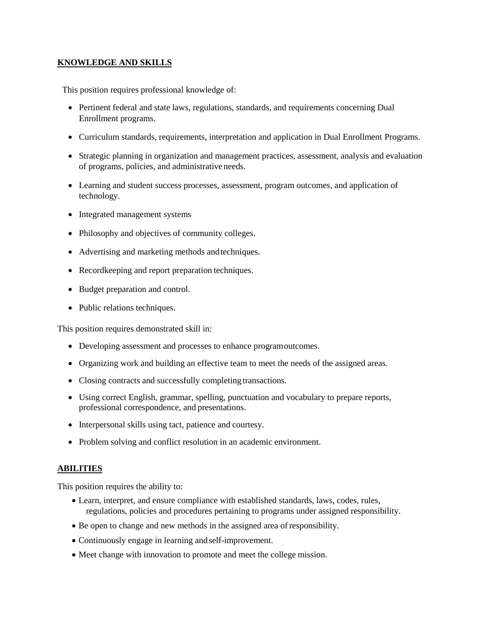## **KNOWLEDGE AND SKILLS**

This position requires professional knowledge of:

- Pertinent federal and state laws, regulations, standards, and requirements concerning Dual Enrollment programs.
- Curriculum standards, requirements, interpretation and application in Dual Enrollment Programs.
- Strategic planning in organization and management practices, assessment, analysis and evaluation of programs, policies, and administrative needs.
- Learning and student success processes, assessment, program outcomes, and application of technology.
- Integrated management systems
- Philosophy and objectives of community colleges.
- Advertising and marketing methods andtechniques.
- Recordkeeping and report preparation techniques.
- Budget preparation and control.
- Public relations techniques.

This position requires demonstrated skill in:

- Developing assessment and processes to enhance programoutcomes.
- Organizing work and building an effective team to meet the needs of the assigned areas.
- Closing contracts and successfully completing transactions.
- Using correct English, grammar, spelling, punctuation and vocabulary to prepare reports, professional correspondence, and presentations.
- Interpersonal skills using tact, patience and courtesy.
- Problem solving and conflict resolution in an academic environment.

### **ABILITIES**

This position requires the ability to:

- Learn, interpret, and ensure compliance with established standards, laws, codes, rules, regulations, policies and procedures pertaining to programs under assigned responsibility.
- Be open to change and new methods in the assigned area of responsibility.
- Continuously engage in learning andself-improvement.
- Meet change with innovation to promote and meet the college mission.